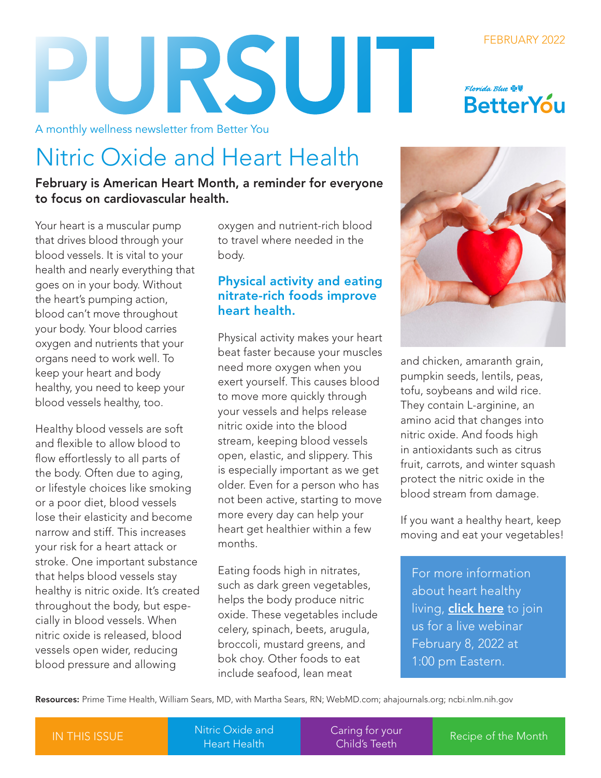# PURSUIT

A monthly wellness newsletter from Better You

### Nitric Oxide and Heart Health

February is American Heart Month, a reminder for everyone to focus on cardiovascular health.

Your heart is a muscular pump that drives blood through your blood vessels. It is vital to your health and nearly everything that goes on in your body. Without the heart's pumping action, blood can't move throughout your body. Your blood carries oxygen and nutrients that your organs need to work well. To keep your heart and body healthy, you need to keep your blood vessels healthy, too.

Healthy blood vessels are soft and flexible to allow blood to flow effortlessly to all parts of the body. Often due to aging, or lifestyle choices like smoking or a poor diet, blood vessels lose their elasticity and become narrow and stiff. This increases your risk for a heart attack or stroke. One important substance that helps blood vessels stay healthy is nitric oxide. It's created throughout the body, but especially in blood vessels. When nitric oxide is released, blood vessels open wider, reducing blood pressure and allowing

oxygen and nutrient-rich blood to travel where needed in the body.

#### Physical activity and eating nitrate-rich foods improve heart health.

Physical activity makes your heart beat faster because your muscles need more oxygen when you exert yourself. This causes blood to move more quickly through your vessels and helps release nitric oxide into the blood stream, keeping blood vessels open, elastic, and slippery. This is especially important as we get older. Even for a person who has not been active, starting to move more every day can help your heart get healthier within a few months.

Eating foods high in nitrates, such as dark green vegetables, helps the body produce nitric oxide. These vegetables include celery, spinach, beets, arugula, broccoli, mustard greens, and bok choy. Other foods to eat include seafood, lean meat



FEBRUARY 2022

**BetterYou** 

Florida Blue **O** 

and chicken, amaranth grain, pumpkin seeds, lentils, peas, tofu, soybeans and wild rice. They contain L-arginine, an amino acid that changes into nitric oxide. And foods high in antioxidants such as citrus fruit, carrots, and winter squash protect the nitric oxide in the blood stream from damage.

If you want a healthy heart, keep moving and eat your vegetables!

For more information about heart healthy living, **[click here](https://guidewell.cosocloud.com/ewur6443mzxu/event/registration.html)** to join us for a live webinar February 8, 2022 at 1:00 pm Eastern.

Resources: Prime Time Health, William Sears, MD, with Martha Sears, RN; [WebMD.com;](https://www.webmd.com/) [ahajournals.org](https://www.ahajournals.org/); [ncbi.nlm.nih.gov](https://www.ncbi.nlm.nih.gov/)

Nitric Oxide and

[Caring for your](#page-1-0) Child's Teeth